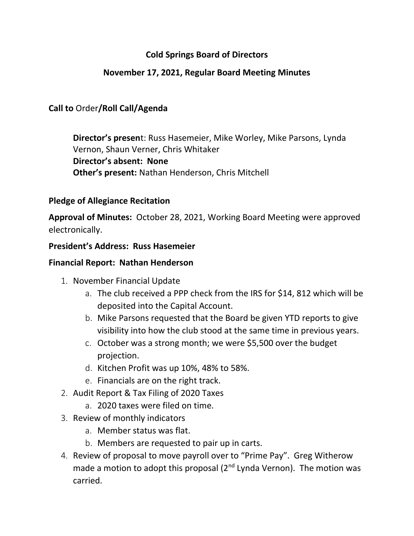# **Cold Springs Board of Directors**

## **November 17, 2021, Regular Board Meeting Minutes**

# **Call to** Order**/Roll Call/Agenda**

**Director's presen**t: Russ Hasemeier, Mike Worley, Mike Parsons, Lynda Vernon, Shaun Verner, Chris Whitaker **Director's absent: None Other's present:** Nathan Henderson, Chris Mitchell

### **Pledge of Allegiance Recitation**

**Approval of Minutes:** October 28, 2021, Working Board Meeting were approved electronically.

### **President's Address: Russ Hasemeier**

### **Financial Report: Nathan Henderson**

- 1. November Financial Update
	- a. The club received a PPP check from the IRS for \$14, 812 which will be deposited into the Capital Account.
	- b. Mike Parsons requested that the Board be given YTD reports to give visibility into how the club stood at the same time in previous years.
	- c. October was a strong month; we were \$5,500 over the budget projection.
	- d. Kitchen Profit was up 10%, 48% to 58%.
	- e. Financials are on the right track.
- 2. Audit Report & Tax Filing of 2020 Taxes
	- a. 2020 taxes were filed on time.
- 3. Review of monthly indicators
	- a. Member status was flat.
	- b. Members are requested to pair up in carts.
- 4. Review of proposal to move payroll over to "Prime Pay". Greg Witherow made a motion to adopt this proposal (2<sup>nd</sup> Lynda Vernon). The motion was carried.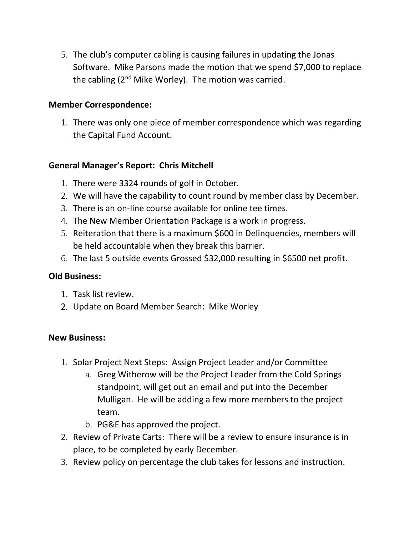5. The club's computer cabling is causing failures in updating the Jonas Software. Mike Parsons made the motion that we spend \$7,000 to replace the cabling  $(2^{nd}$  Mike Worley). The motion was carried.

## **Member Correspondence:**

1. There was only one piece of member correspondence which was regarding the Capital Fund Account.

## **General Manager's Report: Chris Mitchell**

- 1. There were 3324 rounds of golf in October.
- 2. We will have the capability to count round by member class by December.
- 3. There is an on-line course available for online tee times.
- 4. The New Member Orientation Package is a work in progress.
- 5. Reiteration that there is a maximum \$600 in Delinquencies, members will be held accountable when they break this barrier.
- 6. The last 5 outside events Grossed \$32,000 resulting in \$6500 net profit.

## **Old Business:**

- 1. Task list review.
- 2. Update on Board Member Search: Mike Worley

## **New Business:**

- 1. Solar Project Next Steps: Assign Project Leader and/or Committee
	- a. Greg Witherow will be the Project Leader from the Cold Springs standpoint, will get out an email and put into the December Mulligan. He will be adding a few more members to the project team.
	- b. PG&E has approved the project.
- 2. Review of Private Carts: There will be a review to ensure insurance is in place, to be completed by early December.
- 3. Review policy on percentage the club takes for lessons and instruction.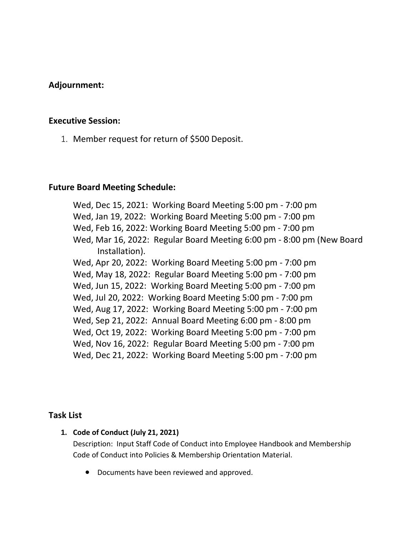### **Adjournment:**

#### **Executive Session:**

1. Member request for return of \$500 Deposit.

#### **Future Board Meeting Schedule:**

Wed, Dec 15, 2021: Working Board Meeting 5:00 pm - 7:00 pm Wed, Jan 19, 2022: Working Board Meeting 5:00 pm - 7:00 pm Wed, Feb 16, 2022: Working Board Meeting 5:00 pm - 7:00 pm Wed, Mar 16, 2022: Regular Board Meeting 6:00 pm - 8:00 pm (New Board Installation). Wed, Apr 20, 2022: Working Board Meeting 5:00 pm - 7:00 pm Wed, May 18, 2022: Regular Board Meeting 5:00 pm - 7:00 pm Wed, Jun 15, 2022: Working Board Meeting 5:00 pm - 7:00 pm Wed, Jul 20, 2022: Working Board Meeting 5:00 pm - 7:00 pm Wed, Aug 17, 2022: Working Board Meeting 5:00 pm - 7:00 pm Wed, Sep 21, 2022: Annual Board Meeting 6:00 pm - 8:00 pm Wed, Oct 19, 2022: Working Board Meeting 5:00 pm - 7:00 pm Wed, Nov 16, 2022: Regular Board Meeting 5:00 pm - 7:00 pm Wed, Dec 21, 2022: Working Board Meeting 5:00 pm - 7:00 pm

#### **Task List**

#### **1. Code of Conduct (July 21, 2021)**

Description: Input Staff Code of Conduct into Employee Handbook and Membership Code of Conduct into Policies & Membership Orientation Material.

• Documents have been reviewed and approved.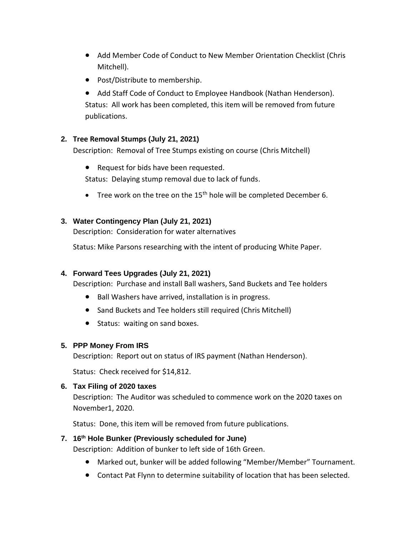- Add Member Code of Conduct to New Member Orientation Checklist (Chris Mitchell).
- Post/Distribute to membership.
- Add Staff Code of Conduct to Employee Handbook (Nathan Henderson). Status: All work has been completed, this item will be removed from future publications.

#### **2. Tree Removal Stumps (July 21, 2021)**

Description: Removal of Tree Stumps existing on course (Chris Mitchell)

- Request for bids have been requested. Status: Delaying stump removal due to lack of funds.
- Tree work on the tree on the 15<sup>th</sup> hole will be completed December 6.

#### **3. Water Contingency Plan (July 21, 2021)**

Description: Consideration for water alternatives

Status: Mike Parsons researching with the intent of producing White Paper.

#### **4. Forward Tees Upgrades (July 21, 2021)**

Description: Purchase and install Ball washers, Sand Buckets and Tee holders

- Ball Washers have arrived, installation is in progress.
- Sand Buckets and Tee holders still required (Chris Mitchell)
- Status: waiting on sand boxes.

#### **5. PPP Money From IRS**

Description: Report out on status of IRS payment (Nathan Henderson).

Status: Check received for \$14,812.

#### **6. Tax Filing of 2020 taxes**

Description: The Auditor was scheduled to commence work on the 2020 taxes on November1, 2020.

Status: Done, this item will be removed from future publications.

#### **7. 16th Hole Bunker (Previously scheduled for June)**

Description: Addition of bunker to left side of 16th Green.

- Marked out, bunker will be added following "Member/Member" Tournament.
- Contact Pat Flynn to determine suitability of location that has been selected.